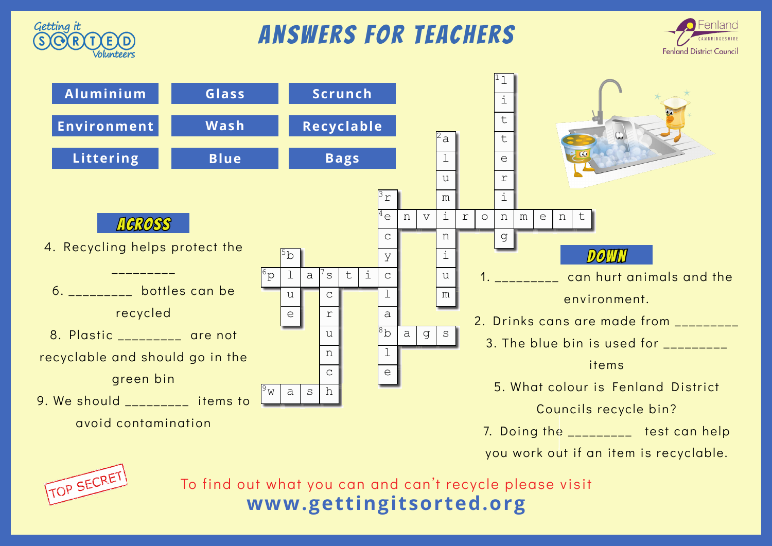

## answers for teachers





you work out if an item is recyclable.



To find out what you can and can't recycle please visit **www.gettingitsorted.org**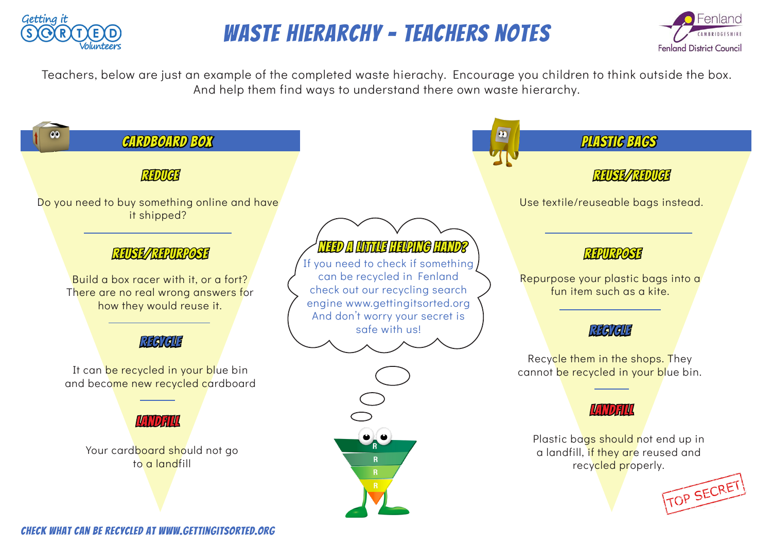

## Waste Hierarchy - teachers notes



Teachers, below are just an example of the completed waste hierachy. Encourage you children to think outside the box. And help them find ways to understand there own waste hierarchy.